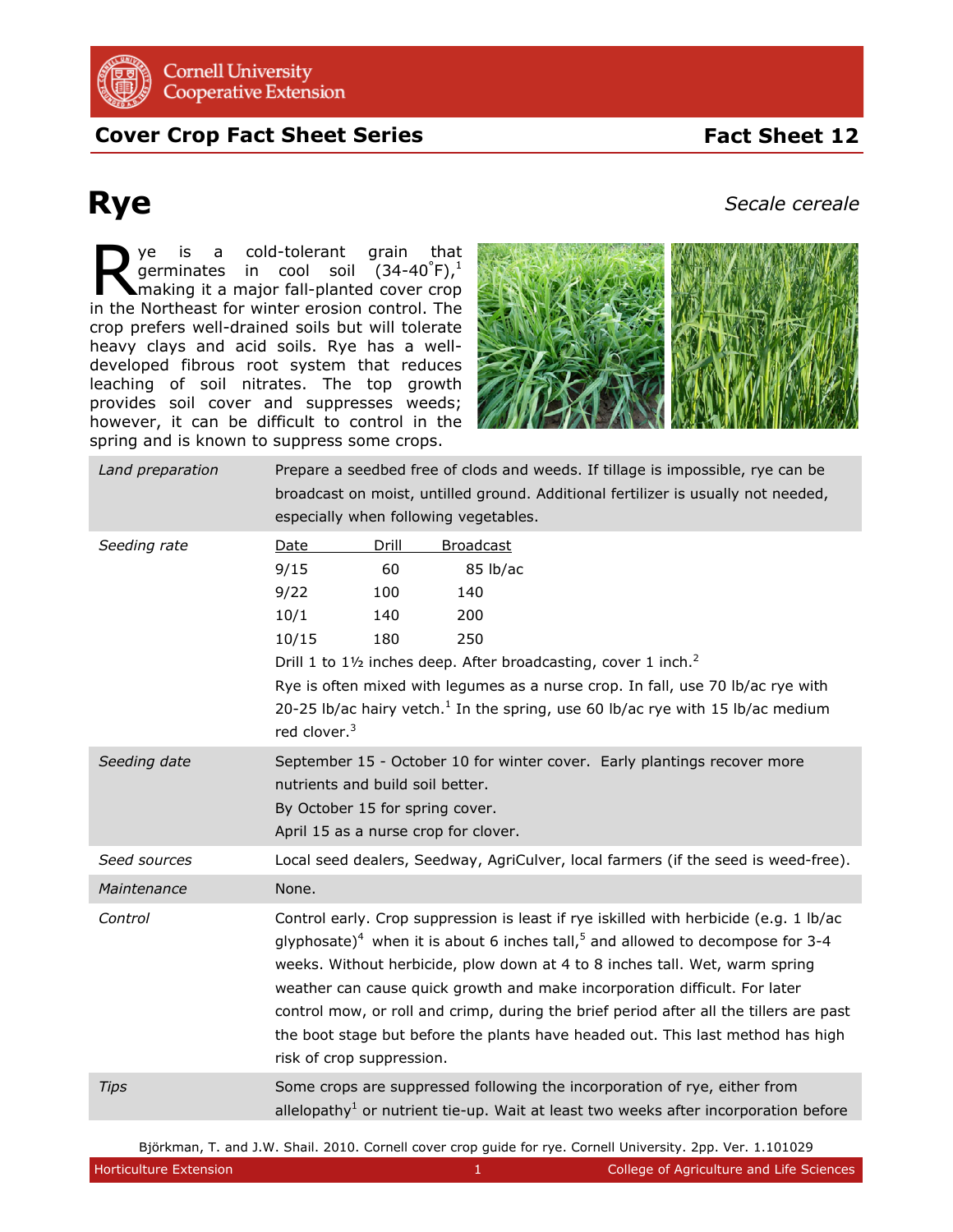

## **Cover Crop Fact Sheet Series**

## **Rye**

*Secale cereale*

 **Fact Sheet 12** 

ye is a cold-tolerant grain that germinates in cool soil (34-40 $^{\circ}$ F), $^{1}$ making it a major fall-planted cover crop **is a** cold-tolerant grain that germinates in cool soil (34-40°F),<sup>1</sup> making it a major fall-planted cover crop in the Northeast for winter erosion control. The crop prefers well-drained soils but will tolerate heavy clays and acid soils. Rye has a welldeveloped fibrous root system that reduces leaching of soil nitrates. The top growth provides soil cover and suppresses weeds; however, it can be difficult to control in the spring and is known to suppress some crops.



| Land preparation | Prepare a seedbed free of clods and weeds. If tillage is impossible, rye can be<br>broadcast on moist, untilled ground. Additional fertilizer is usually not needed,<br>especially when following vegetables.                                                                                                                                                                                                                                                                                                                                                          |
|------------------|------------------------------------------------------------------------------------------------------------------------------------------------------------------------------------------------------------------------------------------------------------------------------------------------------------------------------------------------------------------------------------------------------------------------------------------------------------------------------------------------------------------------------------------------------------------------|
| Seeding rate     | Drill<br>Date<br><b>Broadcast</b><br>9/15<br>60<br>85 lb/ac<br>9/22<br>140<br>100<br>10/1<br>200<br>140<br>10/15<br>180<br>250<br>Drill 1 to 11/2 inches deep. After broadcasting, cover 1 inch. <sup>2</sup><br>Rye is often mixed with legumes as a nurse crop. In fall, use 70 lb/ac rye with<br>20-25 lb/ac hairy vetch. <sup>1</sup> In the spring, use 60 lb/ac rye with 15 lb/ac medium<br>red clover. <sup>3</sup>                                                                                                                                             |
| Seeding date     | September 15 - October 10 for winter cover. Early plantings recover more<br>nutrients and build soil better.<br>By October 15 for spring cover.<br>April 15 as a nurse crop for clover.                                                                                                                                                                                                                                                                                                                                                                                |
| Seed sources     | Local seed dealers, Seedway, AgriCulver, local farmers (if the seed is weed-free).                                                                                                                                                                                                                                                                                                                                                                                                                                                                                     |
| Maintenance      | None.                                                                                                                                                                                                                                                                                                                                                                                                                                                                                                                                                                  |
| Control          | Control early. Crop suppression is least if rye iskilled with herbicide (e.g. 1 lb/ac<br>glyphosate) <sup>4</sup> when it is about 6 inches tall, <sup>5</sup> and allowed to decompose for 3-4<br>weeks. Without herbicide, plow down at 4 to 8 inches tall. Wet, warm spring<br>weather can cause quick growth and make incorporation difficult. For later<br>control mow, or roll and crimp, during the brief period after all the tillers are past<br>the boot stage but before the plants have headed out. This last method has high<br>risk of crop suppression. |
| <b>Tips</b>      | Some crops are suppressed following the incorporation of rye, either from<br>allelopathy <sup>1</sup> or nutrient tie-up. Wait at least two weeks after incorporation before                                                                                                                                                                                                                                                                                                                                                                                           |

Björkman, T. and J.W. Shail. 2010. Cornell cover crop guide for rye. Cornell University. 2pp. Ver. 1.101029